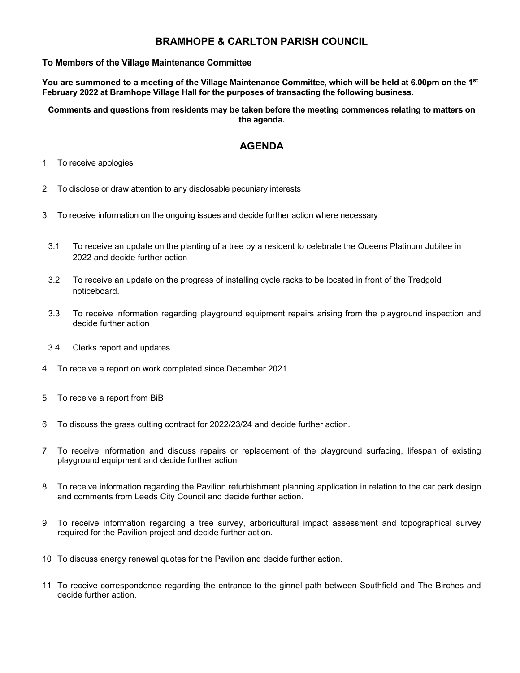## BRAMHOPE & CARLTON PARISH COUNCIL

## To Members of the Village Maintenance Committee

You are summoned to a meeting of the Village Maintenance Committee, which will be held at 6.00pm on the 1<sup>st</sup> February 2022 at Bramhope Village Hall for the purposes of transacting the following business.

Comments and questions from residents may be taken before the meeting commences relating to matters on the agenda.

## AGENDA

- 1. To receive apologies
- 2. To disclose or draw attention to any disclosable pecuniary interests
- 3. To receive information on the ongoing issues and decide further action where necessary
	- 3.1 To receive an update on the planting of a tree by a resident to celebrate the Queens Platinum Jubilee in 2022 and decide further action
	- 3.2 To receive an update on the progress of installing cycle racks to be located in front of the Tredgold noticeboard.
	- 3.3 To receive information regarding playground equipment repairs arising from the playground inspection and decide further action
	- 3.4 Clerks report and updates.
- 4 To receive a report on work completed since December 2021
- 5 To receive a report from BiB
- 6 To discuss the grass cutting contract for 2022/23/24 and decide further action.
- 7 To receive information and discuss repairs or replacement of the playground surfacing, lifespan of existing playground equipment and decide further action
- 8 To receive information regarding the Pavilion refurbishment planning application in relation to the car park design and comments from Leeds City Council and decide further action.
- 9 To receive information regarding a tree survey, arboricultural impact assessment and topographical survey required for the Pavilion project and decide further action.
- 10 To discuss energy renewal quotes for the Pavilion and decide further action.
- 11 To receive correspondence regarding the entrance to the ginnel path between Southfield and The Birches and decide further action.